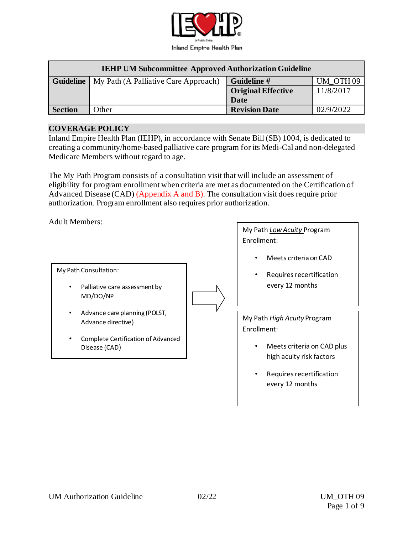

| <b>IEHP UM Subcommittee Approved Authorization Guideline</b> |                                      |                           |                      |  |
|--------------------------------------------------------------|--------------------------------------|---------------------------|----------------------|--|
| <b>Guideline</b>                                             | My Path (A Palliative Care Approach) | Guideline #               | UM OTH <sub>09</sub> |  |
|                                                              |                                      | <b>Original Effective</b> | 11/8/2017            |  |
|                                                              |                                      | Date                      |                      |  |
| <b>Section</b>                                               | Other                                | <b>Revision Date</b>      | 02/9/2022            |  |

#### **COVERAGE POLICY**

Inland Empire Health Plan (IEHP), in accordance with Senate Bill (SB) 1004, is dedicated to creating a community/home-based palliative care program for its Medi-Cal and non-delegated Medicare Members without regard to age.

The My Path Program consists of a consultation visit that will include an assessment of eligibility for program enrollment when criteria are met as documented on the Certification of Advanced Disease (CAD) (Appendix A and B). The consultation visit does require prior authorization. Program enrollment also requires prior authorization.

#### Adult Members:

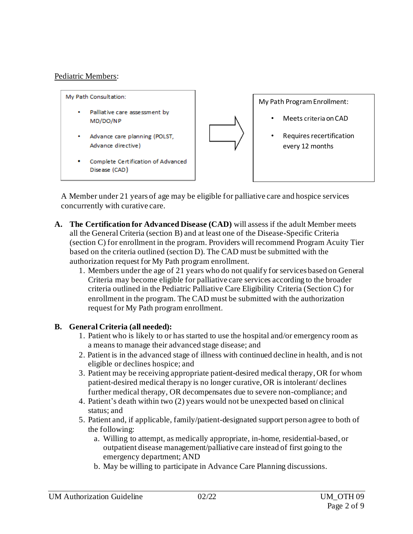## Pediatric Members:



A Member under 21 years of age may be eligible for palliative care and hospice services concurrently with curative care.

- **A. The Certification for Advanced Disease (CAD)** will assess if the adult Member meets all the General Criteria (section B) and at least one of the Disease-Specific Criteria (section C) for enrollment in the program. Providers will recommend Program Acuity Tier based on the criteria outlined (section D). The CAD must be submitted with the authorization request for My Path program enrollment.
	- 1. Members under the age of 21 years who do not qualify for services based on General Criteria may become eligible for palliative care services according to the broader criteria outlined in the Pediatric Palliative Care Eligibility Criteria (Section C) for enrollment in the program. The CAD must be submitted with the authorization request for My Path program enrollment.

## **B. General Criteria (all needed):**

- 1. Patient who is likely to or has started to use the hospital and/or emergency room as a means to manage their advanced stage disease; and
- 2. Patient is in the advanced stage of illness with continued decline in health, and is not eligible or declines hospice; and
- 3. Patient may be receiving appropriate patient-desired medical therapy, OR for whom patient-desired medical therapy is no longer curative, OR is intolerant/ declines further medical therapy, OR decompensates due to severe non-compliance; and
- 4. Patient's death within two (2) years would not be unexpected based on clinical status; and
- 5. Patient and, if applicable, family/patient-designated support person agree to both of the following:
	- a. Willing to attempt, as medically appropriate, in-home, residential-based, or outpatient disease management/palliative care instead of first going to the emergency department; AND
	- b. May be willing to participate in Advance Care Planning discussions.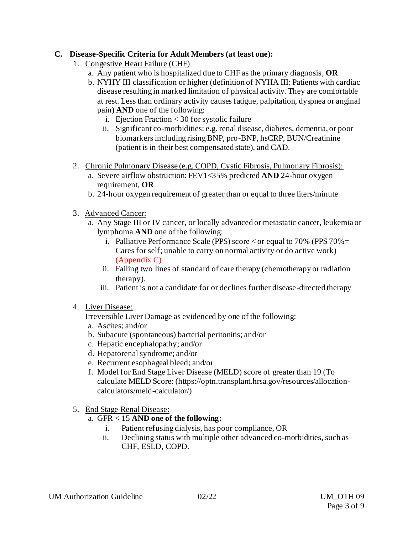## **C. Disease-Specific Criteria for Adult Members (at least one):**

- 1. Congestive Heart Failure (CHF)
	- a. Any patient who is hospitalized due to CHF as the primary diagnosis, **OR**
	- b. NYHY III classification or higher (definition of NYHA III: Patients with cardiac disease resulting in marked limitation of physical activity. They are comfortable at rest. Less than ordinary activity causes fatigue, palpitation, dyspnea or anginal pain) **AND** one of the following:
		- i. Ejection Fraction < 30 for systolic failure
		- ii. Significant co-morbidities: e.g. renal disease, diabetes, dementia, or poor biomarkers including rising BNP, pro-BNP, hsCRP, BUN/Creatinine (patient is in their best compensated state), and CAD.
- 2. Chronic Pulmonary Disease (e.g. COPD, Cystic Fibrosis, Pulmonary Fibrosis):
	- a. Severe airflow obstruction: FEV1<35% predicted **AND** 24-hour oxygen requirement, **OR**
	- b. 24-hour oxygen requirement of greater than or equal to three liters/minute
- 3. Advanced Cancer:
	- a. Any Stage III or IV cancer, or locally advanced or metastatic cancer, leukemia or lymphoma **AND** one of the following:
		- i. Palliative Performance Scale (PPS) score  $\langle$  or equal to 70% (PPS 70% = Cares for self; unable to carry on normal activity or do active work) (Appendix C)
		- ii. Failing two lines of standard of care therapy (chemotherapy or radiation therapy).
		- iii. Patient is not a candidate for or declines further disease-directed therapy
- 4. Liver Disease:

Irreversible Liver Damage as evidenced by one of the following:

- a. Ascites; and/or
- b. Subacute (spontaneous) bacterial peritonitis; and/or
- c. Hepatic encephalopathy; and/or
- d. Hepatorenal syndrome; and/or
- e. Recurrent esophageal bleed; and/or
- f. Model for End Stage Liver Disease (MELD) score of greater than 19 (To calculate MELD Score: [\(https://optn.transplant.hrsa.gov/resources/allocation](https://optn.transplant.hrsa.gov/resources/allocation-calculators/meld-calculator/)[calculators/meld-calculator/](https://optn.transplant.hrsa.gov/resources/allocation-calculators/meld-calculator/))
- 5. End Stage Renal Disease:
	- a. GFR < 15 **AND one of the following:**
		- i. Patient refusing dialysis, has poor compliance, OR
		- ii. Declining status with multiple other advanced co-morbidities, such as CHF, ESLD, COPD.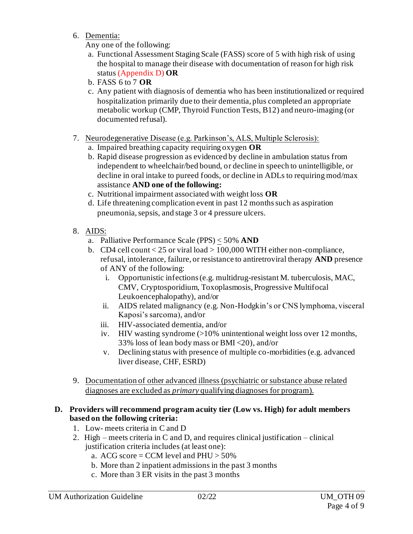6. Dementia:

Any one of the following:

- a. Functional Assessment Staging Scale (FASS) score of 5 with high risk of using the hospital to manage their disease with documentation of reason for high risk status (Appendix D) **OR**
- b. FASS 6 to 7 **OR**
- c. Any patient with diagnosis of dementia who has been institutionalized or required hospitalization primarily due to their dementia, plus completed an appropriate metabolic workup (CMP, Thyroid Function Tests, B12) and neuro-imaging (or documented refusal).
- 7. Neurodegenerative Disease (e.g. Parkinson's, ALS, Multiple Sclerosis):
	- a. Impaired breathing capacity requiring oxygen **OR**
	- b. Rapid disease progression as evidenced by decline in ambulation status from independent to wheelchair/bed bound, or decline in speech to unintelligible, or decline in oral intake to pureed foods, or decline in ADLs to requiring mod/max assistance **AND one of the following:**
	- c. Nutritional impairment associated with weight loss **OR**
	- d. Life threatening complication event in past 12 months such as aspiration pneumonia, sepsis, and stage 3 or 4 pressure ulcers.
- 8. AIDS:
	- a. Palliative Performance Scale (PPS) < 50% **AND**
	- b. CD4 cell count < 25 or viral load > 100,000 WITH either non-compliance, refusal, intolerance, failure, or resistance to antiretroviral therapy **AND** presence of ANY of the following:
		- i. Opportunistic infections (e.g. multidrug-resistant M. tuberculosis, MAC, CMV, Cryptosporidium, Toxoplasmosis, Progressive Multifocal Leukoencephalopathy), and/or
		- ii. AIDS related malignancy (e.g. Non-Hodgkin's or CNS lymphoma, visceral Kaposi's sarcoma), and/or
		- iii. HIV-associated dementia, and/or
		- iv. HIV wasting syndrome (>10% unintentional weight loss over 12 months, 33% loss of lean body mass or BMI <20), and/or
		- v. Declining status with presence of multiple co-morbidities (e.g. advanced liver disease, CHF, ESRD)
- 9. Documentation of other advanced illness (psychiatric or substance abuse related diagnoses are excluded as *primary* qualifying diagnoses for program).

## **D. Providers will recommend program acuity tier (Low vs. High) for adult members based on the following criteria:**

- 1. Low- meets criteria in C and D
- 2. High meets criteria in C and D, and requires clinical justification clinical justification criteria includes (at least one):
	- a. ACG score = CCM level and  $PHU > 50\%$
	- b. More than 2 inpatient admissions in the past 3 months
	- c. More than 3 ER visits in the past 3 months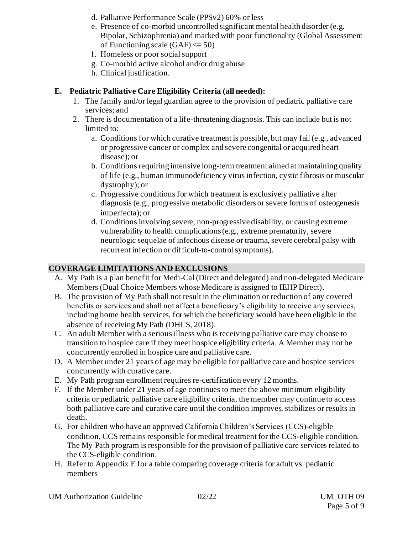- d. Palliative Performance Scale (PPSv2) 60% or less
- e. Presence of co-morbid uncontrolled significant mental health disorder (e.g. Bipolar, Schizophrenia) and marked with poor functionality (Global Assessment of Functioning scale  $(GAF) \leq 50$
- f. Homeless or poor social support
- g. Co-morbid active alcohol and/or drug abuse
- h. Clinical justification.

### **E. Pediatric Palliative Care Eligibility Criteria (all needed):**

- 1. The family and/or legal guardian agree to the provision of pediatric palliative care services; and
- 2. There is documentation of a life-threatening diagnosis. This can include but is not limited to:
	- a. Conditions for which curative treatment is possible, but may fail (e.g., advanced or progressive cancer or complex and severe congenital or acquired heart disease); or
	- b. Conditions requiring intensive long-term treatment aimed at maintaining quality of life (e.g., human immunodeficiency virus infection, cystic fibrosis or muscular dystrophy); or
	- c. Progressive conditions for which treatment is exclusively palliative after diagnosis (e.g., progressive metabolic disorders or severe forms of osteogenesis imperfecta); or
	- d. Conditions involving severe, non-progressive disability, or causing extreme vulnerability to health complications (e.g., extreme prematurity, severe neurologic sequelae of infectious disease or trauma, severe cerebral palsy with recurrent infection or difficult-to-control symptoms).

## **COVERAGE LIMITATIONS AND EXCLUSIONS**

- A. My Path is a plan benefit for Medi-Cal (Direct and delegated) and non-delegated Medicare Members (Dual Choice Members whose Medicare is assigned to IEHP Direct).
- B. The provision of My Path shall not result in the elimination or reduction of any covered benefits or services and shall not affect a beneficiary's eligibility to receive any services, including home health services, for which the beneficiary would have been eligible in the absence of receiving My Path (DHCS, 2018).
- C. An adult Member with a serious illness who is receiving palliative care may choose to transition to hospice care if they meet hospice eligibility criteria. A Member may not be concurrently enrolled in hospice care and palliative care.
- D. A Member under 21 years of age may be eligible for palliative care and hospice services concurrently with curative care.
- E. My Path program enrollment requires re-certification every 12 months.
- F. If the Member under 21 years of age continues to meet the above minimum eligibility criteria or pediatric palliative care eligibility criteria, the member may continue to access both palliative care and curative care until the condition improves, stabilizes or results in death.
- G. For children who have an approved California Children's Services (CCS)-eligible condition, CCS remains responsible for medical treatment for the CCS-eligible condition. The My Path program is responsible for the provision of palliative care services related to the CCS-eligible condition.
- H. Refer to Appendix E for a table comparing coverage criteria for adult vs. pediatric members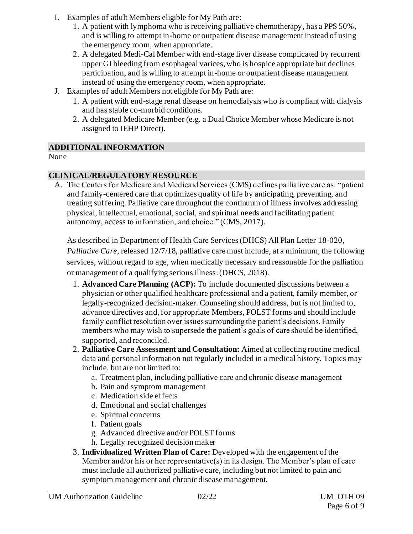- I. Examples of adult Members eligible for My Path are:
	- 1. A patient with lymphoma who is receiving palliative chemotherapy, has a PPS 50%, and is willing to attempt in-home or outpatient disease management instead of using the emergency room, when appropriate.
	- 2. A delegated Medi-Cal Member with end-stage liver disease complicated by recurrent upper GI bleeding from esophageal varices, who is hospice appropriate but declines participation, and is willing to attempt in-home or outpatient disease management instead of using the emergency room, when appropriate.
- J. Examples of adult Members not eligible for My Path are:
	- 1. A patient with end-stage renal disease on hemodialysis who is compliant with dialysis and has stable co-morbid conditions.
	- 2. A delegated Medicare Member (e.g. a Dual Choice Member whose Medicare is not assigned to IEHP Direct).

## **ADDITIONAL INFORMATION**

None

## **CLINICAL/REGULATORY RESOURCE**

A. The Centers for Medicare and Medicaid Services (CMS) defines palliative care as: "patient and family-centered care that optimizes quality of life by anticipating, preventing, and treating suffering. Palliative care throughout the continuum of illness involves addressing physical, intellectual, emotional, social, and spiritual needs and facilitating patient autonomy, access to information, and choice." (CMS, 2017).

As described in Department of Health Care Services(DHCS) All Plan Letter 18-020,

*Palliative Care,* released 12/7/18, palliative care must include, at a minimum, the following services, without regard to age, when medically necessary and reasonable for the palliation or management of a qualifying serious illness:(DHCS, 2018).

- 1. **Advanced Care Planning (ACP):** To include documented discussions between a physician or other qualified healthcare professional and a patient, family member, or legally-recognized decision-maker. Counseling should address, but is not limited to, advance directives and, for appropriate Members, POLST forms and should include family conflict resolution over issues surrounding the patient's decisions. Family members who may wish to supersede the patient's goals of care should be identified, supported, and reconciled.
- 2. **Palliative Care Assessment and Consultation:** Aimed at collecting routine medical data and personal information not regularly included in a medical history. Topics may include, but are not limited to:
	- a. Treatment plan, including palliative care and chronic disease management
	- b. Pain and symptom management
	- c. Medication side effects
	- d. Emotional and social challenges
	- e. Spiritual concerns
	- f. Patient goals
	- g. Advanced directive and/or POLST forms
	- h. Legally recognized decision maker
- 3. **Individualized Written Plan of Care:** Developed with the engagement of the Member and/or his or her representative(s) in its design. The Member's plan of care must include all authorized palliative care, including but not limited to pain and symptom management and chronic disease management.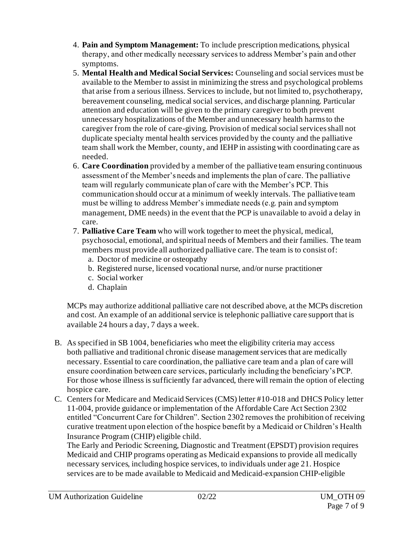- 4. **Pain and Symptom Management:** To include prescription medications, physical therapy, and other medically necessary services to address Member's pain and other symptoms.
- 5. **Mental Health and Medical Social Services:** Counseling and social services must be available to the Member to assist in minimizing the stress and psychological problems that arise from a serious illness. Services to include, but not limited to, psychotherapy, bereavement counseling, medical social services, and discharge planning. Particular attention and education will be given to the primary caregiver to both prevent unnecessary hospitalizations of the Member and unnecessary health harms to the caregiver from the role of care-giving. Provision of medical social services shall not duplicate specialty mental health services provided by the county and the palliative team shall work the Member, county, and IEHP in assisting with coordinating care as needed.
- 6. **Care Coordination** provided by a member of the palliative team ensuring continuous assessment of the Member's needs and implements the plan of care. The palliative team will regularly communicate plan of care with the Member's PCP. This communication should occur at a minimum of weekly intervals. The palliative team must be willing to address Member's immediate needs (e.g. pain and symptom management, DME needs) in the event that the PCP is unavailable to avoid a delay in care.
- 7. **Palliative Care Team** who will work together to meet the physical, medical, psychosocial, emotional, and spiritual needs of Members and their families. The team members must provide all authorized palliative care. The team is to consist of:
	- a. Doctor of medicine or osteopathy
	- b. Registered nurse, licensed vocational nurse, and/or nurse practitioner
	- c. Social worker
	- d. Chaplain

MCPs may authorize additional palliative care not described above, at the MCPs discretion and cost. An example of an additional service is telephonic palliative care support that is available 24 hours a day, 7 days a week.

- B. As specified in SB 1004, beneficiaries who meet the eligibility criteria may access both palliative and traditional chronic disease management services that are medically necessary. Essential to care coordination, the palliative care team and a plan of care will ensure coordination between care services, particularly including the beneficiary's PCP. For those whose illness is sufficiently far advanced, there will remain the option of electing hospice care.
- C. Centers for Medicare and Medicaid Services (CMS) letter #10-018 and DHCS Policy letter 11-004, provide guidance or implementation of the Affordable Care Act Section 2302 entitled "Concurrent Care for Children". Section 2302 removes the prohibition of receiving curative treatment upon election of the hospice benefit by a Medicaid or Children's Health Insurance Program (CHIP) eligible child.

The Early and Periodic Screening, Diagnostic and Treatment (EPSDT) provision requires Medicaid and CHIP programs operating as Medicaid expansions to provide all medically necessary services, including hospice services, to individuals under age 21. Hospice services are to be made available to Medicaid and Medicaid-expansion CHIP-eligible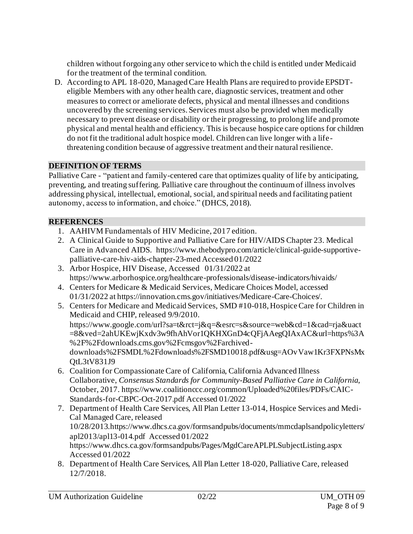children without forgoing any other service to which the child is entitled under Medicaid for the treatment of the terminal condition.

D. According to APL 18-020, Managed Care Health Plans are required to provide EPSDTeligible Members with any other health care, diagnostic services, treatment and other measures to correct or ameliorate defects, physical and mental illnesses and conditions uncovered by the screening services. Services must also be provided when medically necessary to prevent disease or disability or their progressing, to prolong life and promote physical and mental health and efficiency. This is because hospice care options for children do not fit the traditional adult hospice model. Children can live longer with a lifethreatening condition because of aggressive treatment and their natural resilience.

## **DEFINITION OF TERMS**

Palliative Care - "patient and family-centered care that optimizes quality of life by anticipating, preventing, and treating suffering. Palliative care throughout the continuum of illness involves addressing physical, intellectual, emotional, social, and spiritual needs and facilitating patient autonomy, access to information, and choice." (DHCS, 2018).

## **REFERENCES**

- 1. AAHIVM Fundamentals of HIV Medicine, 2017 edition.
- 2. A Clinical Guide to Supportive and Palliative Care for HIV/AIDS Chapter 23. Medical Care in Advanced AIDS. [https://www.thebodypro.com/article/clinical-guide-supportive](https://www.thebodypro.com/article/clinical-guide-supportive-palliative-care-hiv-aids-chapter-23-med)[palliative-care-hiv-aids-chapter-23-med](https://www.thebodypro.com/article/clinical-guide-supportive-palliative-care-hiv-aids-chapter-23-med) Accessed 01/2022
- 3. Arbor Hospice, HIV Disease, Accessed 01/31/2022 at https://www.arborhospice.org/healthcare-professionals/disease-indicators/hivaids/
- 4. Centers for Medicare & Medicaid Services, Medicare Choices Model, accessed 01/31/2022 a[t https://innovation.cms.gov/initiatives/Medicare-Care-Choices/](https://innovation.cms.gov/initiatives/Medicare-Care-Choices/).
- 5. Centers for Medicare and Medicaid Services, SMD #10-018, Hospice Care for Children in Medicaid and CHIP, released 9/9/2010. [https://www.google.com/url?sa=t&rct=j&q=&esrc=s&source=web&cd=1&cad=rja&uact](https://www.google.com/url?sa=t&rct=j&q=&esrc=s&source=web&cd=1&cad=rja&uact=8&ved=2ahUKEwjKxdv3w9fhAhVor1QKHXGnD4cQFjAAegQIAxAC&url=https%3A%2F%2Fdownloads.cms.gov%2Fcmsgov%2Farchived-downloads%2FSMDL%2Fdownloads%2FSMD10018.pdf&usg=AOvVaw1Kr3FXPNsMxQtL3tV831J9) [=8&ved=2ahUKEwjKxdv3w9fhAhVor1QKHXGnD4cQFjAAegQIAxAC&url=https%3A](https://www.google.com/url?sa=t&rct=j&q=&esrc=s&source=web&cd=1&cad=rja&uact=8&ved=2ahUKEwjKxdv3w9fhAhVor1QKHXGnD4cQFjAAegQIAxAC&url=https%3A%2F%2Fdownloads.cms.gov%2Fcmsgov%2Farchived-downloads%2FSMDL%2Fdownloads%2FSMD10018.pdf&usg=AOvVaw1Kr3FXPNsMxQtL3tV831J9) [%2F%2Fdownloads.cms.gov%2Fcmsgov%2Farchived](https://www.google.com/url?sa=t&rct=j&q=&esrc=s&source=web&cd=1&cad=rja&uact=8&ved=2ahUKEwjKxdv3w9fhAhVor1QKHXGnD4cQFjAAegQIAxAC&url=https%3A%2F%2Fdownloads.cms.gov%2Fcmsgov%2Farchived-downloads%2FSMDL%2Fdownloads%2FSMD10018.pdf&usg=AOvVaw1Kr3FXPNsMxQtL3tV831J9)[downloads%2FSMDL%2Fdownloads%2FSMD10018.pdf&usg=AOvVaw1Kr3FXPNsMx](https://www.google.com/url?sa=t&rct=j&q=&esrc=s&source=web&cd=1&cad=rja&uact=8&ved=2ahUKEwjKxdv3w9fhAhVor1QKHXGnD4cQFjAAegQIAxAC&url=https%3A%2F%2Fdownloads.cms.gov%2Fcmsgov%2Farchived-downloads%2FSMDL%2Fdownloads%2FSMD10018.pdf&usg=AOvVaw1Kr3FXPNsMxQtL3tV831J9) [QtL3tV831J9](https://www.google.com/url?sa=t&rct=j&q=&esrc=s&source=web&cd=1&cad=rja&uact=8&ved=2ahUKEwjKxdv3w9fhAhVor1QKHXGnD4cQFjAAegQIAxAC&url=https%3A%2F%2Fdownloads.cms.gov%2Fcmsgov%2Farchived-downloads%2FSMDL%2Fdownloads%2FSMD10018.pdf&usg=AOvVaw1Kr3FXPNsMxQtL3tV831J9)
- 6. Coalition for Compassionate Care of California, California Advanced Illness Collaborative, *Consensus Standards for Community-Based Palliative Care in California*, October, 2017. [https://www.coalitionccc.org/common/Uploaded%20files/PDFs/CAIC-](https://www.coalitionccc.org/common/Uploaded%20files/PDFs/CAIC-Standards-for-CBPC-Oct-2017.pdf)[Standards-for-CBPC-Oct-2017.pdf](https://www.coalitionccc.org/common/Uploaded%20files/PDFs/CAIC-Standards-for-CBPC-Oct-2017.pdf) Accessed 01/2022
- 7. Department of Health Care Services, All Plan Letter 13-014, Hospice Services and Medi-Cal Managed Care, released 10/28/201[3.https://www.dhcs.ca.gov/formsandpubs/documents/mmcdaplsandpolicyletters/](https://www.dhcs.ca.gov/formsandpubs/documents/mmcdaplsandpolicyletters/apl2013/apl13-014.pdf) [apl2013/apl13-014.pdf](https://www.dhcs.ca.gov/formsandpubs/documents/mmcdaplsandpolicyletters/apl2013/apl13-014.pdf) Accessed 01/2022 <https://www.dhcs.ca.gov/formsandpubs/Pages/MgdCareAPLPLSubjectListing.aspx> Accessed 01/2022
- 8. Department of Health Care Services, All Plan Letter 18-020, Palliative Care, released 12/7/2018.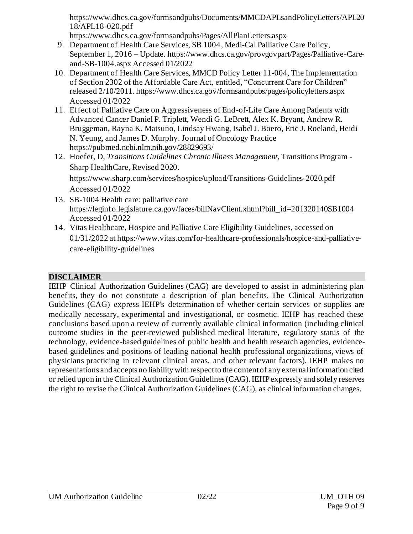[https://www.dhcs.ca.gov/formsandpubs/Documents/MMCDAPLsandPolicyLetters/APL20](https://www.dhcs.ca.gov/formsandpubs/Documents/MMCDAPLsandPolicyLetters/APL2018/APL18-020.pdf) [18/APL18-020.pdf](https://www.dhcs.ca.gov/formsandpubs/Documents/MMCDAPLsandPolicyLetters/APL2018/APL18-020.pdf)

https://www.dhcs.ca.gov/formsandpubs/Pages/AllPlanLetters.aspx

- 9. Department of Health Care Services, SB 1004, Medi-Cal Palliative Care Policy, September 1, 2016 – Update[. https://www.dhcs.ca.gov/provgovpart/Pages/Palliative-Care](https://www.dhcs.ca.gov/provgovpart/Pages/Palliative-Care-and-SB-1004.aspx)[and-SB-1004.aspx](https://www.dhcs.ca.gov/provgovpart/Pages/Palliative-Care-and-SB-1004.aspx) Accessed 01/2022
- 10. Department of Health Care Services, MMCD Policy Letter 11-004, The Implementation of Section 2302 of the Affordable Care Act, entitled, "Concurrent Care for Children" released 2/10/2011. <https://www.dhcs.ca.gov/formsandpubs/pages/policyletters.aspx> Accessed 01/2022
- 11. [Effect of Palliative Care on Aggressiveness of End-of-Life Care Among Patients with](http://ascopubs.org/doi/abs/10.1200/JOP.2017.020883)  [Advanced Cancer](http://ascopubs.org/doi/abs/10.1200/JOP.2017.020883) Daniel P. Triplett, Wendi G. LeBrett, Alex K. Bryant, Andrew R. Bruggeman, Rayna K. Matsuno, Lindsay Hwang, Isabel J. Boero, Eric J. Roeland, Heidi N. Yeung, and James D. Murphy. Journal of Oncology Practice https://pubmed.ncbi.nlm.nih.gov/28829693/
- 12. Hoefer, D, *Transitions Guidelines Chronic Illness Management*, Transitions Program Sharp HealthCare, Revised 2020. [https://www.sharp.com/services/hospice/upload/Transitions-Guidelines-2020.pdf](https://www.sharp.com/services/hospice/upload/Transitions-Guidelines-2020.pdf%20Accessed%2001/2022)
- [Accessed 01/2022](https://www.sharp.com/services/hospice/upload/Transitions-Guidelines-2020.pdf%20Accessed%2001/2022) 13. SB-1004 Health care: palliative care [https://leginfo.legislature.ca.gov/faces/billNavClient.xhtml?bill\\_id=201320140SB1004](https://leginfo.legislature.ca.gov/faces/billNavClient.xhtml?bill_id=201320140SB1004) Accessed 01/2022
- 14. Vitas Healthcare, Hospice and Palliative Care Eligibility Guidelines, accessed on 01/31/2022 at https://www.vitas.com/for-healthcare-professionals/hospice-and-palliativecare-eligibility-guidelines

## **DISCLAIMER**

IEHP Clinical Authorization Guidelines (CAG) are developed to assist in administering plan benefits, they do not constitute a description of plan benefits. The Clinical Authorization Guidelines (CAG) express IEHP's determination of whether certain services or supplies are medically necessary, experimental and investigational, or cosmetic. IEHP has reached these conclusions based upon a review of currently available clinical information (including clinical outcome studies in the peer-reviewed published medical literature, regulatory status of the technology, evidence-based guidelines of public health and health research agencies, evidencebased guidelines and positions of leading national health professional organizations, views of physicians practicing in relevant clinical areas, and other relevant factors). IEHP makes no representations and accepts no liability with respect to the content of any external information cited or relied upon in the Clinical Authorization Guidelines (CAG). IEHP expressly and solely reserves the right to revise the Clinical Authorization Guidelines (CAG), as clinical information changes.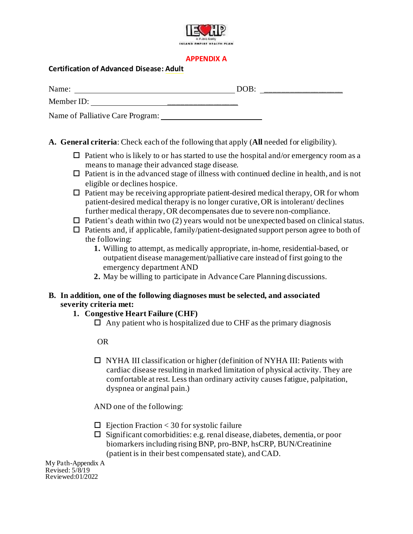

#### **APPENDIX A**

#### **Certification of Advanced Disease: Adult**

| Name:                            | DOB: |  |
|----------------------------------|------|--|
| Member ID:                       |      |  |
| Name of Palliative Care Program: |      |  |

**A. General criteria**: Check each of the following that apply (**All** needed for eligibility).

- $\Box$  Patient who is likely to or has started to use the hospital and/or emergency room as a means to manage their advanced stage disease.
- $\Box$  Patient is in the advanced stage of illness with continued decline in health, and is not eligible or declines hospice.
- $\square$  Patient may be receiving appropriate patient-desired medical therapy, OR for whom patient-desired medical therapy is no longer curative, OR is intolerant/ declines further medical therapy, OR decompensates due to severe non-compliance.
- $\Box$  Patient's death within two (2) years would not be unexpected based on clinical status.
- $\Box$  Patients and, if applicable, family/patient-designated support person agree to both of the following:
	- **1.** Willing to attempt, as medically appropriate, in-home, residential-based, or outpatient disease management/palliative care instead of first going to the emergency department AND
	- **2.** May be willing to participate in AdvanceCare Planning discussions.

#### **B. In addition, one of the following diagnoses must be selected, and associated severity criteria met:**

#### **1. Congestive Heart Failure (CHF)**

 $\Box$  Any patient who is hospitalized due to CHF as the primary diagnosis

#### OR

 $\Box$  NYHA III classification or higher (definition of NYHA III: Patients with cardiac disease resulting in marked limitation of physical activity. They are comfortable at rest. Less than ordinary activity causes fatigue, palpitation, dyspnea or anginal pain.)

AND one of the following:

- $\Box$  Ejection Fraction < 30 for systolic failure
- $\square$  Significant comorbidities: e.g. renal disease, diabetes, dementia, or poor biomarkers including risingBNP, pro-BNP, hsCRP, BUN/Creatinine (patient is in their best compensated state), and CAD.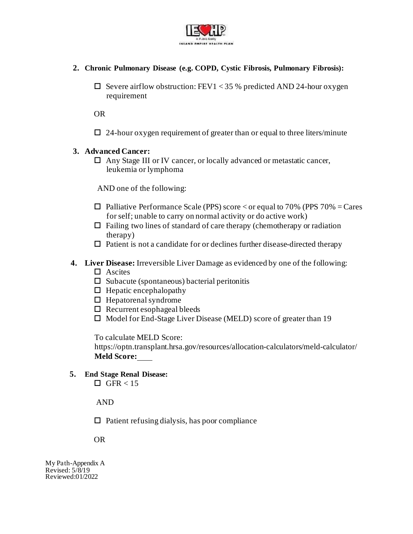

- **2. Chronic Pulmonary Disease (e.g. COPD, Cystic Fibrosis, Pulmonary Fibrosis):**
	- $\square$  Severe airflow obstruction: FEV1 < 35 % predicted AND 24-hour oxygen requirement

OR

 $\Box$  24-hour oxygen requirement of greater than or equal to three liters/minute

#### **3. Advanced Cancer:**

 Any Stage III or IV cancer, or locally advanced or metastatic cancer, leukemia or lymphoma

AND one of the following:

- $\Box$  Palliative Performance Scale (PPS) score < or equal to 70% (PPS 70% = Cares for self; unable to carry on normal activity or do active work)
- $\Box$  Failing two lines of standard of care therapy (chemotherapy or radiation therapy)
- $\Box$  Patient is not a candidate for or declines further disease-directed therapy
- **4. Liver Disease:** Irreversible Liver Damage as evidenced by one of the following:
	- $\Box$  Ascites
	- $\square$  Subacute (spontaneous) bacterial peritonitis
	- $\Box$  Hepatic encephalopathy
	- $\Box$  Hepatorenal syndrome
	- $\Box$  Recurrent esophageal bleeds
	- $\Box$  Model for End-Stage Liver Disease (MELD) score of greater than 19

To calculate MELD Score:

https://optn.transplant.hrsa.gov/resources/allocation-calculators/meld-calculator/ **Meld Score:**

**5. End Stage Renal Disease:**

 $\Box$  GFR < 15

AND

 $\Box$  Patient refusing dialysis, has poor compliance

OR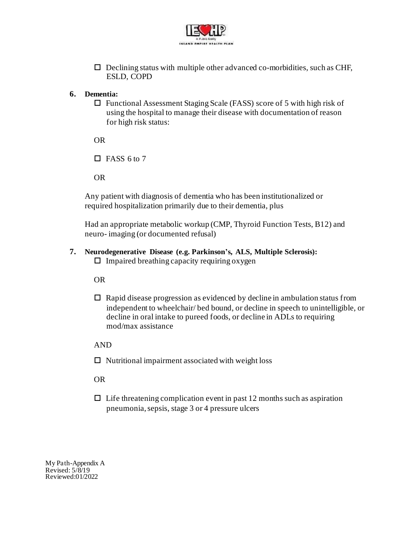

 $\Box$  Declining status with multiple other advanced co-morbidities, such as CHF, ESLD, COPD

#### **6. Dementia:**

 $\Box$  Functional Assessment Staging Scale (FASS) score of 5 with high risk of using the hospital to manage their disease with documentation of reason for high risk status:

OR

 $\Box$  FASS 6 to 7

OR

Any patient with diagnosis of dementia who has been institutionalized or required hospitalization primarily due to their dementia, plus

Had an appropriate metabolic workup (CMP, Thyroid Function Tests, B12) and neuro- imaging (or documented refusal)

# **7. Neurodegenerative Disease (e.g. Parkinson's, ALS, Multiple Sclerosis):**

 $\Box$  Impaired breathing capacity requiring oxygen

OR

 $\Box$  Rapid disease progression as evidenced by decline in ambulation status from independent to wheelchair/ bed bound, or decline in speech to unintelligible, or decline in oral intake to pureed foods, or decline in ADLs to requiring mod/max assistance

AND

 $\Box$  Nutritional impairment associated with weight loss

OR

 $\Box$  Life threatening complication event in past 12 months such as aspiration pneumonia, sepsis, stage 3 or 4 pressure ulcers

My Path-Appendix A Revised:  $5/\overline{8}/19$ Reviewed:01/2022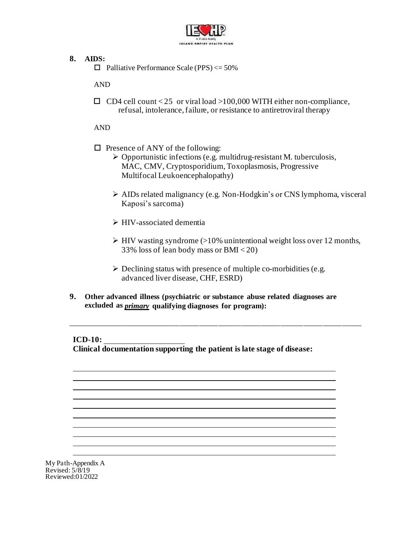

#### **8. AIDS:**

 $\Box$  Palliative Performance Scale (PPS)  $\leq$  50%

AND

 $\Box$  CD4 cell count < 25 or viral load >100,000 WITH either non-compliance, refusal, intolerance, failure, or resistance to antiretroviral therapy

AND

- $\Box$  Presence of ANY of the following:
	- ➢ Opportunistic infections (e.g. multidrug-resistant M. tuberculosis, MAC, CMV, Cryptosporidium, Toxoplasmosis, Progressive Multifocal Leukoencephalopathy)
	- ➢ AIDs related malignancy (e.g. Non-Hodgkin's or CNS lymphoma, visceral Kaposi's sarcoma)
	- ➢ HIV-associated dementia
	- $\triangleright$  HIV wasting syndrome (>10% unintentional weight loss over 12 months, 33% loss of lean body mass or BMI < 20)
	- $\triangleright$  Declining status with presence of multiple co-morbidities (e.g. advanced liver disease, CHF, ESRD)

\_\_\_\_\_\_\_\_\_\_\_\_\_\_\_\_\_\_\_\_\_\_\_\_\_\_\_\_\_\_\_\_\_\_\_\_\_\_\_\_\_\_\_\_\_\_\_\_\_\_\_\_\_\_\_\_\_\_\_\_\_\_\_\_\_\_\_\_\_\_\_\_\_\_\_\_

**9. Other advanced illness (psychiatric or substance abuse related diagnoses are excluded as** *primary* **qualifying diagnoses for program):**

**ICD-10:** 

**Clinical documentation supporting the patient is late stage of disease:**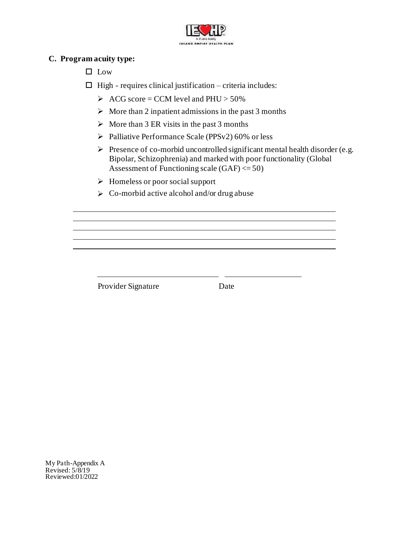

#### **C. Program acuity type:**

 $\Box$  Low

 $\Box$  High - requires clinical justification – criteria includes:

- $\triangleright$  ACG score = CCM level and PHU > 50%
- $\triangleright$  More than 2 inpatient admissions in the past 3 months
- $\triangleright$  More than 3 ER visits in the past 3 months
- ➢ Palliative Performance Scale (PPSv2) 60% or less
- ➢ Presence of co-morbid uncontrolled significant mental health disorder (e.g. Bipolar, Schizophrenia) and marked with poor functionality (Global Assessment of Functioning scale  $(GAF) \le 50$
- ➢ Homeless or poor social support
- $\triangleright$  Co-morbid active alcohol and/or drug abuse

Provider Signature Date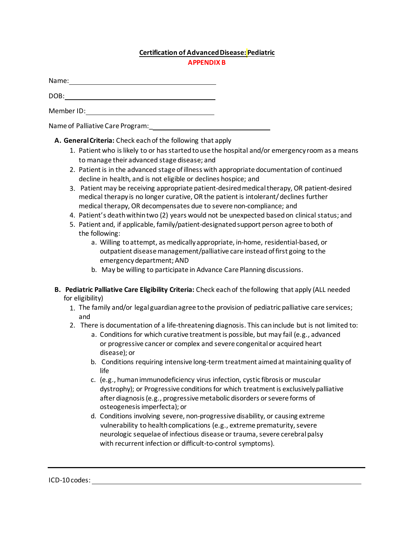#### **Certification of AdvancedDisease: Pediatric**

| r |  |  |  |  |
|---|--|--|--|--|
|   |  |  |  |  |
|   |  |  |  |  |

Name: Name and the second state of the second state of the second state of the second state of the second state of the second state of the second state of the second state of the second state of the second state of the sec

DOB: the contract of the contract of the contract of the contract of the contract of the contract of the contract of the contract of the contract of the contract of the contract of the contract of the contract of the contr

Member ID:

Name of Palliative Care Program:\_

**A. GeneralCriteria:** Check each of the following that apply

- 1. Patient who islikely to or has started touse the hospital and/or emergency room as a means to manage their advanced stage disease; and
- 2. Patient is in the advanced stage of illness with appropriate documentation of continued decline in health, and is not eligible or declines hospice; and
- 3. Patient may be receiving appropriate patient-desiredmedicaltherapy, OR patient-desired medical therapy is no longer curative, OR the patient is intolerant/declines further medical therapy, OR decompensates due to severe non-compliance; and
- 4. Patient's death withintwo (2) years would not be unexpected basedon clinical status; and
- 5. Patient and, if applicable, family/patient-designatedsupport person agree toboth of the following:
	- a. Willing toattempt, as medically appropriate, in-home, residential-based, or outpatient disease management/palliative care instead of first going to the emergencydepartment; AND
	- b. May be willing to participate in Advance Care Planning discussions.
- **B. Pediatric Palliative Care Eligibility Criteria:** Check eachof the following that apply (ALL needed for eligibility)
	- 1. The family and/or legal guardianagree tothe provision of pediatric palliative care services; and
	- 2. There is documentation of a life-threatening diagnosis. This caninclude but is not limited to:
		- a. Conditions for which curative treatment is possible, but may fail (e.g., advanced or progressive cancer or complex and severe congenital or acquired heart disease); or
		- b. Conditions requiring intensive long-term treatment aimed at maintaining quality of life
		- c. (e.g., humanimmunodeficiency virus infection, cystic fibrosis or muscular dystrophy); or Progressive conditions for which treatment is exclusively palliative after diagnosis (e.g., progressive metabolic disorders or severe forms of osteogenesis imperfecta); or
		- d. Conditions involving severe, non-progressive disability, or causing extreme vulnerability to health complications (e.g., extreme prematurity, severe neurologic sequelae of infectious disease or trauma, severe cerebral palsy with recurrent infection or difficult-to-control symptoms).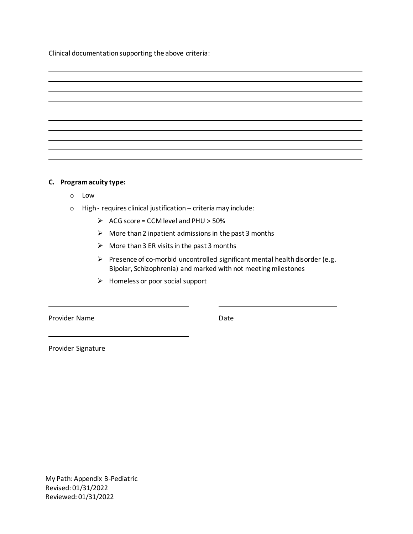Clinical documentationsupporting the above criteria:

| <u> 1999 - Jan Barbara de Santo Antonio de Santo de Santo de Santo de Santo de Santo de Santo de Santo de Santo d</u> |  |  |
|-----------------------------------------------------------------------------------------------------------------------|--|--|
|                                                                                                                       |  |  |
|                                                                                                                       |  |  |
| <u> 1989 - Andrea Santa Andrea Andrea Andrea Andrea Andrea Andrea Andrea Andrea Andrea Andrea Andrea Andrea Andr</u>  |  |  |
|                                                                                                                       |  |  |
|                                                                                                                       |  |  |
|                                                                                                                       |  |  |
|                                                                                                                       |  |  |
| the contract of the contract of the contract of the contract of the contract of the contract of                       |  |  |
|                                                                                                                       |  |  |

#### **C. Programacuity type:**

- o Low
- $\circ$  High requires clinical justification criteria may include:
	- $\triangleright$  ACG score = CCM level and PHU > 50%
	- $\triangleright$  More than 2 inpatient admissions in the past 3 months
	- $\triangleright$  More than 3 ER visits in the past 3 months
	- $\triangleright$  Presence of co-morbid uncontrolled significant mental health disorder (e.g. Bipolar, Schizophrenia) and marked with not meeting milestones
	- $\triangleright$  Homeless or poor social support

Provider Name Date

Provider Signature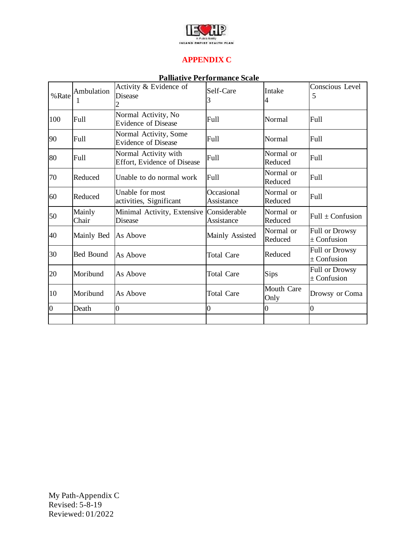

#### **APPENDIX C**

#### **Palliative Performance Scale**

| %Rate          | Ambulation<br>T | Activity & Evidence of<br>Disease                          | Self-Care<br>3           | Intake<br>4          | Conscious Level<br>5                     |
|----------------|-----------------|------------------------------------------------------------|--------------------------|----------------------|------------------------------------------|
| 100            | Full            | Normal Activity, No<br><b>Evidence of Disease</b>          | Full                     | Normal               | Full                                     |
| 90             | Full            | Normal Activity, Some<br><b>Evidence of Disease</b>        | Full                     | Normal               | <b>Full</b>                              |
| 80             | Full            | Normal Activity with<br><b>Effort, Evidence of Disease</b> | Full                     | Normal or<br>Reduced | <b>Full</b>                              |
| 70             | Reduced         | Unable to do normal work                                   | Full                     | Normal or<br>Reduced | <b>Full</b>                              |
| 60             | Reduced         | Unable for most<br>activities, Significant                 | Occasional<br>Assistance | Normal or<br>Reduced | Full                                     |
| 50             | Mainly<br>Chair | Minimal Activity, Extensive Considerable<br>Disease        | Assistance               | Normal or<br>Reduced | Full $\pm$ Confusion                     |
| 40             | Mainly Bed      | As Above                                                   | Mainly Assisted          | Normal or<br>Reduced | <b>Full or Drowsy</b><br>$\pm$ Confusion |
| 30             | Bed Bound       | As Above                                                   | <b>Total Care</b>        | Reduced              | <b>Full or Drowsy</b><br>$\pm$ Confusion |
| 20             | Moribund        | As Above                                                   | <b>Total Care</b>        | Sips                 | <b>Full or Drowsy</b><br>$\pm$ Confusion |
| 10             | Moribund        | As Above                                                   | <b>Total Care</b>        | Mouth Care<br>Only   | Drowsy or Coma                           |
| $\overline{0}$ | Death           | $\overline{0}$                                             | $\boldsymbol{0}$         | 0                    | $\overline{0}$                           |
|                |                 |                                                            |                          |                      |                                          |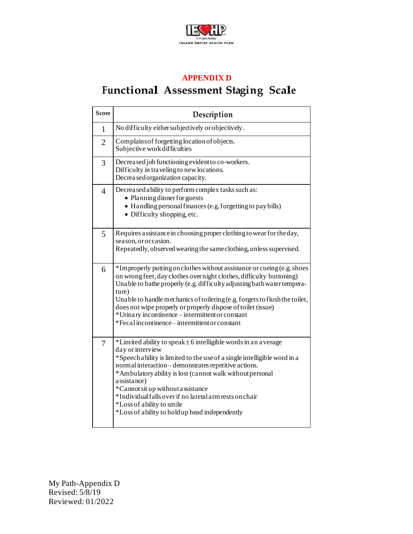

#### **APPENDIX D**

# **Functional Assessment Staging Scale**

| <b>Score</b>   | Description                                                                                                                                                                                                                                                                                                                                                                                                                                                                             |
|----------------|-----------------------------------------------------------------------------------------------------------------------------------------------------------------------------------------------------------------------------------------------------------------------------------------------------------------------------------------------------------------------------------------------------------------------------------------------------------------------------------------|
| 1              | No difficulty either subjectively or objectively.                                                                                                                                                                                                                                                                                                                                                                                                                                       |
| $\overline{2}$ | Complains of forgetting location of objects.<br>Subjective work difficulties                                                                                                                                                                                                                                                                                                                                                                                                            |
| 3              | Decreased job functioning evident to co-workers.<br>Difficulty in traveling to new locations.<br>Decreased organization capacity.                                                                                                                                                                                                                                                                                                                                                       |
| $\overline{4}$ | Decreased a bility to perform complex tasks such as:<br>• Planning dinner for guests<br>• Handling personal finances (e.g. forgetting to pay bills)<br>• Difficulty shopping, etc.                                                                                                                                                                                                                                                                                                      |
| 5              | Requires assistance in choosing proper clothing to wear for the day,<br>season, or occasion.<br>Repeatedly, observed wearing the same clothing, unless supervised.                                                                                                                                                                                                                                                                                                                      |
| 6              | *Improperly putting on clothes without assistance or cueing (e.g. shoes<br>on wrong feet, day clothes over night clothes, difficulty buttoning)<br>Unable to bathe properly (e.g. difficulty adjusting bath water tempera-<br>ture)<br>Unable to handle mechanics of toileting (e.g. forgets to flush the toilet,<br>does not wipe properly or properly dispose of toilet tissue)<br>*Urinary incontinence – intermittent or constant<br>*Fecal incontinence – intermittent or constant |
| 7              | *Limited ability to speak $\pm$ 6 intelligible words in an average<br>day or interview<br>*Speech a bility is limited to the use of a single intelligible word in a<br>normal interaction - demonstrates repetitive actions.<br>*Ambulatory ability is lost (cannot walk without personal<br>assistance)<br>*Cannot sit up without assistance<br>*Individual falls over if no lateral arm rests on chair<br>*Loss of ability to smile<br>*Loss of ability to hold up head independently |